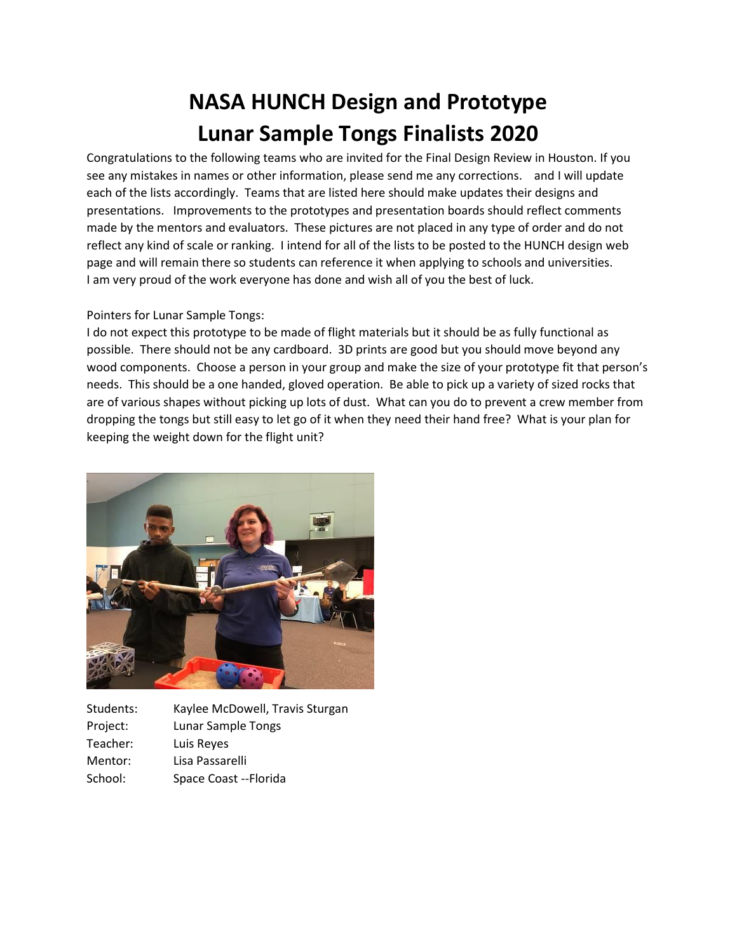## **NASA HUNCH Design and Prototype Lunar Sample Tongs Finalists 2020**

Congratulations to the following teams who are invited for the Final Design Review in Houston. If you see any mistakes in names or other information, please send me any corrections. and I will update each of the lists accordingly. Teams that are listed here should make updates their designs and presentations. Improvements to the prototypes and presentation boards should reflect comments made by the mentors and evaluators. These pictures are not placed in any type of order and do not reflect any kind of scale or ranking. I intend for all of the lists to be posted to the HUNCH design web page and will remain there so students can reference it when applying to schools and universities. I am very proud of the work everyone has done and wish all of you the best of luck.

## Pointers for Lunar Sample Tongs:

I do not expect this prototype to be made of flight materials but it should be as fully functional as possible. There should not be any cardboard. 3D prints are good but you should move beyond any wood components. Choose a person in your group and make the size of your prototype fit that person's needs. This should be a one handed, gloved operation. Be able to pick up a variety of sized rocks that are of various shapes without picking up lots of dust. What can you do to prevent a crew member from dropping the tongs but still easy to let go of it when they need their hand free? What is your plan for keeping the weight down for the flight unit?



| Students: | Kaylee McDowell, Travis Sturgan |
|-----------|---------------------------------|
| Project:  | Lunar Sample Tongs              |
| Teacher:  | Luis Reyes                      |
| Mentor:   | Lisa Passarelli                 |
| School:   | Space Coast -- Florida          |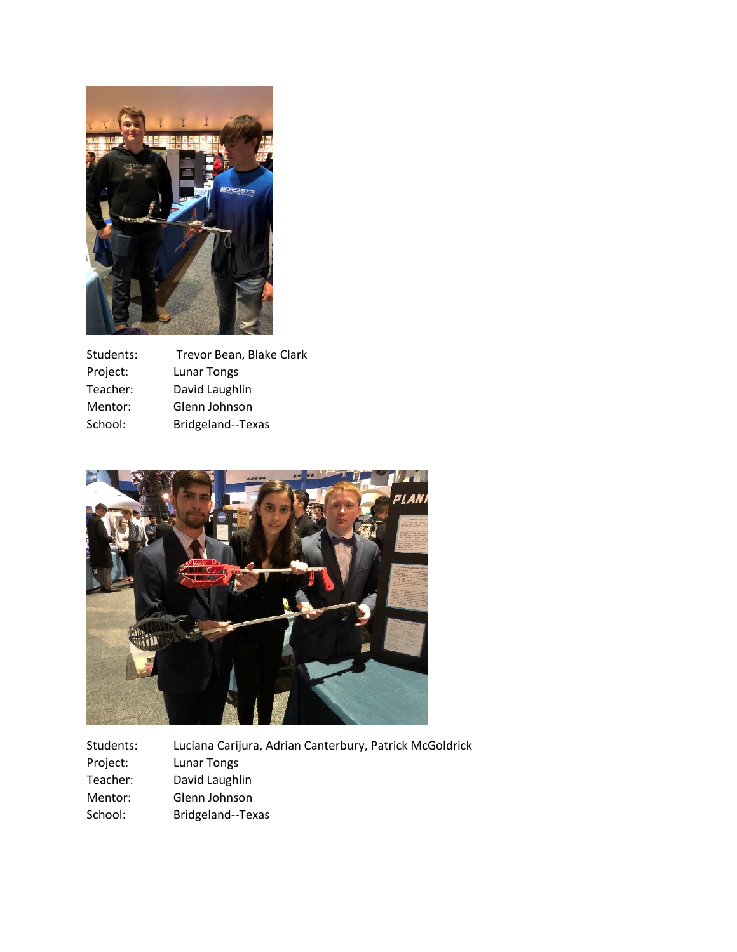

| Students: | Trevor Bean, Blake Clark |
|-----------|--------------------------|
| Project:  | Lunar Tongs              |
| Teacher:  | David Laughlin           |
| Mentor:   | Glenn Johnson            |
| School:   | Bridgeland--Texas        |



| Students: | Luciana Carijura, Adrian Canterbury, Patrick McGoldrick |
|-----------|---------------------------------------------------------|
| Project:  | Lunar Tongs                                             |
| Teacher:  | David Laughlin                                          |
| Mentor:   | Glenn Johnson                                           |
| School:   | Bridgeland--Texas                                       |
|           |                                                         |